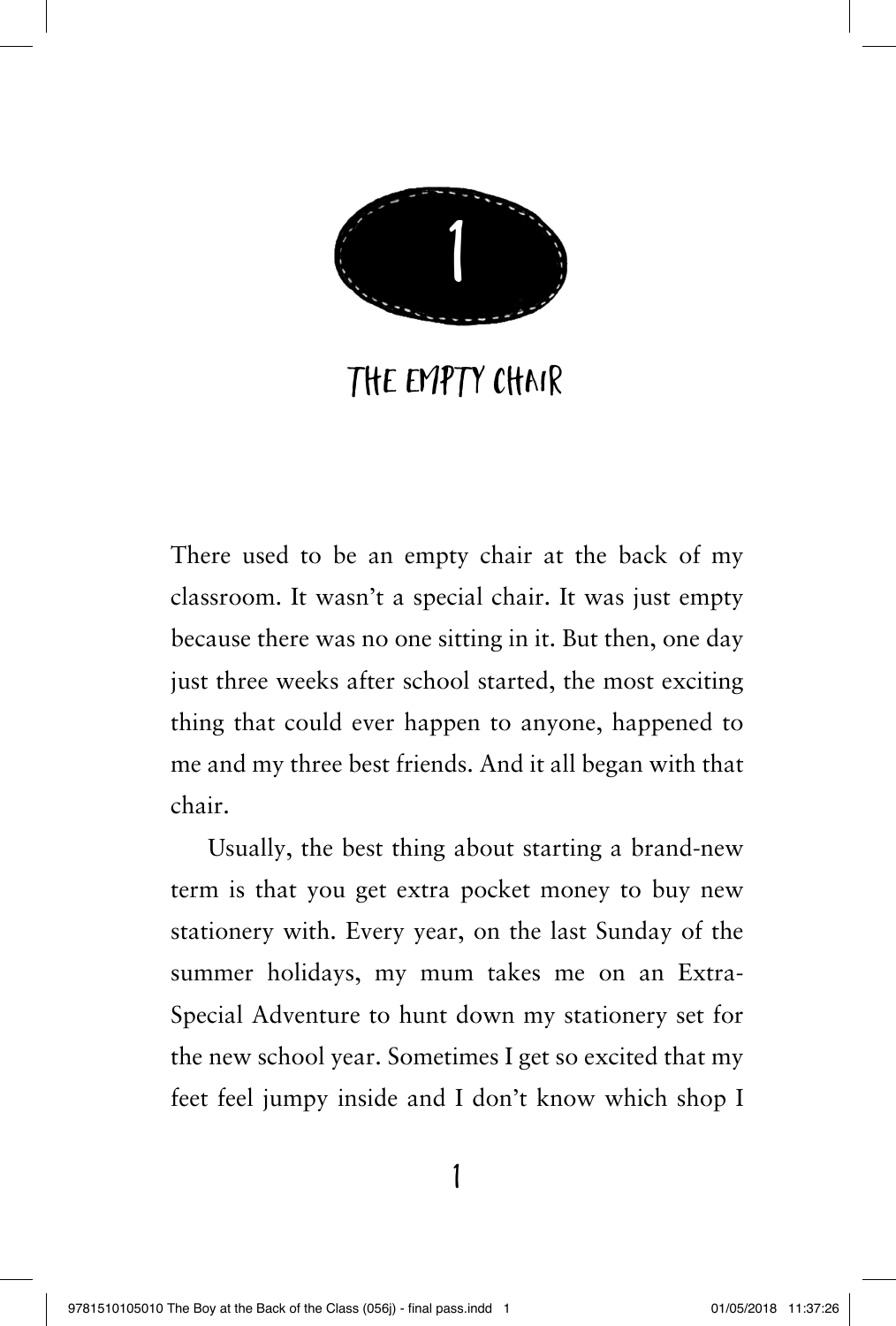

## THE EMPTY CHAIR

There used to be an empty chair at the back of my classroom. It wasn't a special chair. It was just empty because there was no one sitting in it. But then, one day just three weeks after school started, the most exciting thing that could ever happen to anyone, happened to me and my three best friends. And it all began with that chair.

Usually, the best thing about starting a brand-new term is that you get extra pocket money to buy new stationery with. Every year, on the last Sunday of the summer holidays, my mum takes me on an Extra-Special Adventure to hunt down my stationery set for the new school year. Sometimes I get so excited that my feet feel jumpy inside and I don't know which shop I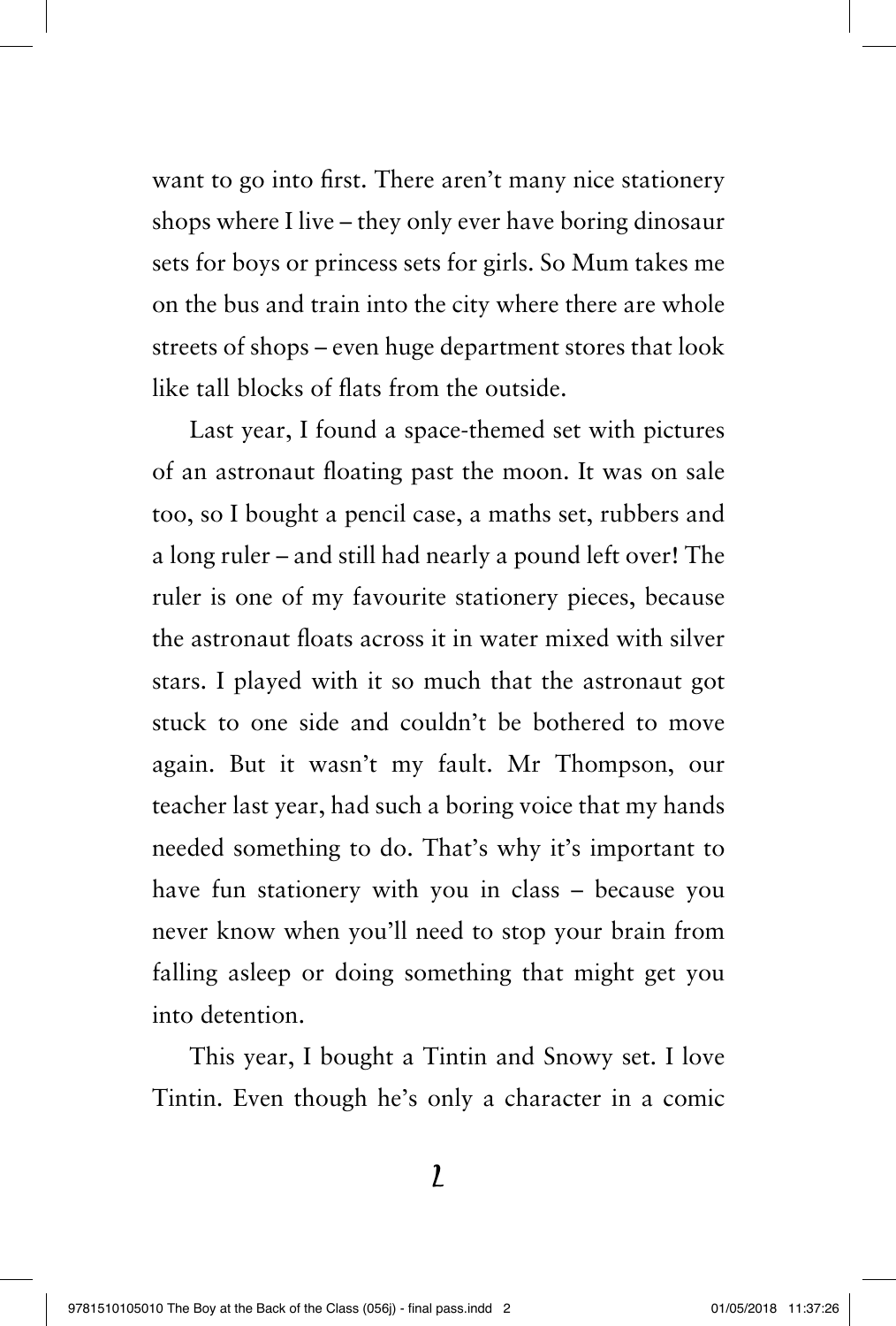want to go into first. There aren't many nice stationery shops where I live – they only ever have boring dinosaur sets for boys or princess sets for girls. So Mum takes me on the bus and train into the city where there are whole streets of shops – even huge department stores that look like tall blocks of flats from the outside.

Last year, I found a space-themed set with pictures of an astronaut floating past the moon. It was on sale too, so I bought a pencil case, a maths set, rubbers and a long ruler – and still had nearly a pound left over! The ruler is one of my favourite stationery pieces, because the astronaut floats across it in water mixed with silver stars. I played with it so much that the astronaut got stuck to one side and couldn't be bothered to move again. But it wasn't my fault. Mr Thompson, our teacher last year, had such a boring voice that my hands needed something to do. That's why it's important to have fun stationery with you in class – because you never know when you'll need to stop your brain from falling asleep or doing something that might get you into detention.

This year, I bought a Tintin and Snowy set. I love Tintin. Even though he's only a character in a comic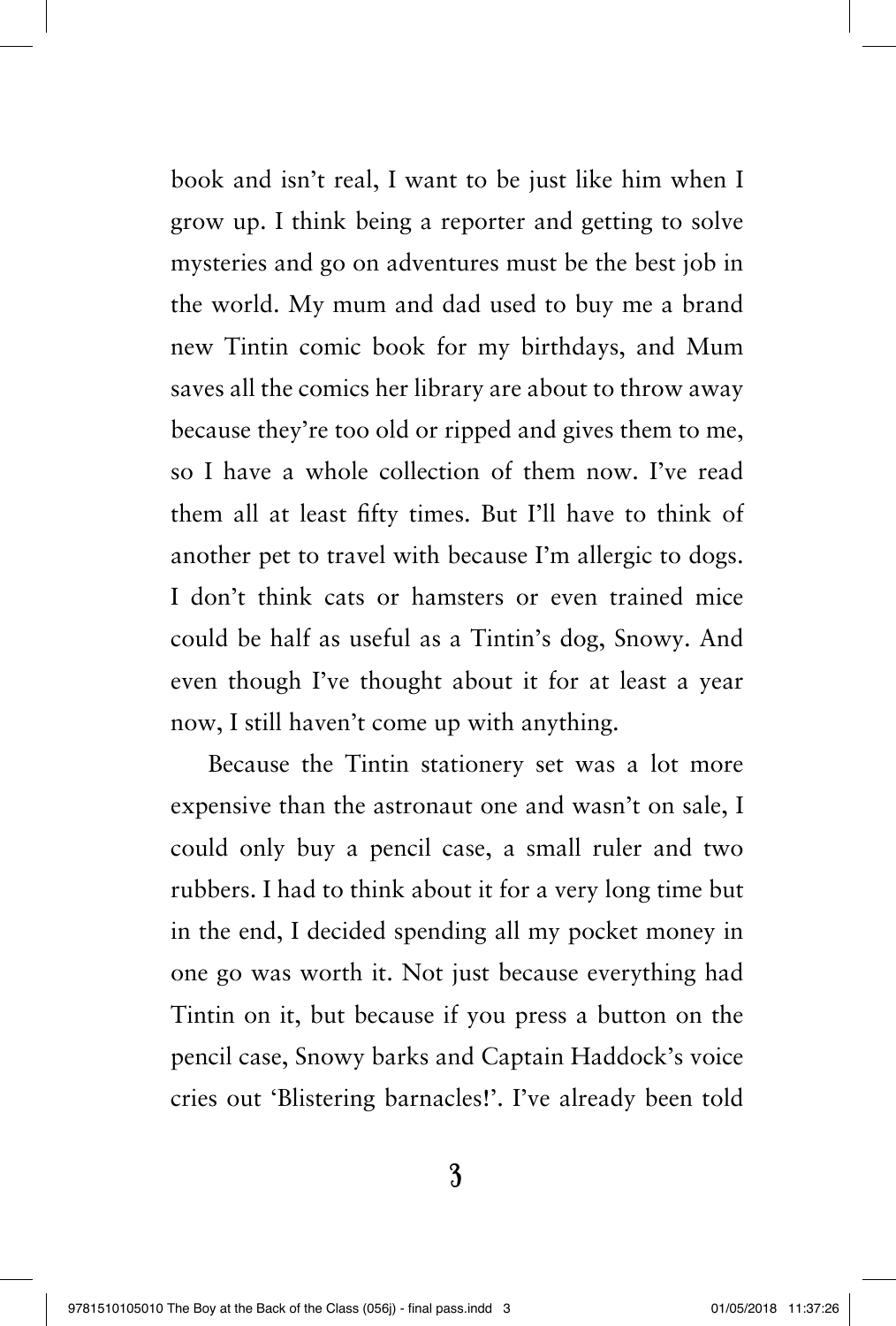book and isn't real, I want to be just like him when I grow up. I think being a reporter and getting to solve mysteries and go on adventures must be the best job in the world. My mum and dad used to buy me a brand new Tintin comic book for my birthdays, and Mum saves all the comics her library are about to throw away because they're too old or ripped and gives them to me, so I have a whole collection of them now. I've read them all at least fifty times. But I'll have to think of another pet to travel with because I'm allergic to dogs. I don't think cats or hamsters or even trained mice could be half as useful as a Tintin's dog, Snowy. And even though I've thought about it for at least a year now, I still haven't come up with anything.

Because the Tintin stationery set was a lot more expensive than the astronaut one and wasn't on sale, I could only buy a pencil case, a small ruler and two rubbers. I had to think about it for a very long time but in the end, I decided spending all my pocket money in one go was worth it. Not just because everything had Tintin on it, but because if you press a button on the pencil case, Snowy barks and Captain Haddock's voice cries out 'Blistering barnacles!'. I've already been told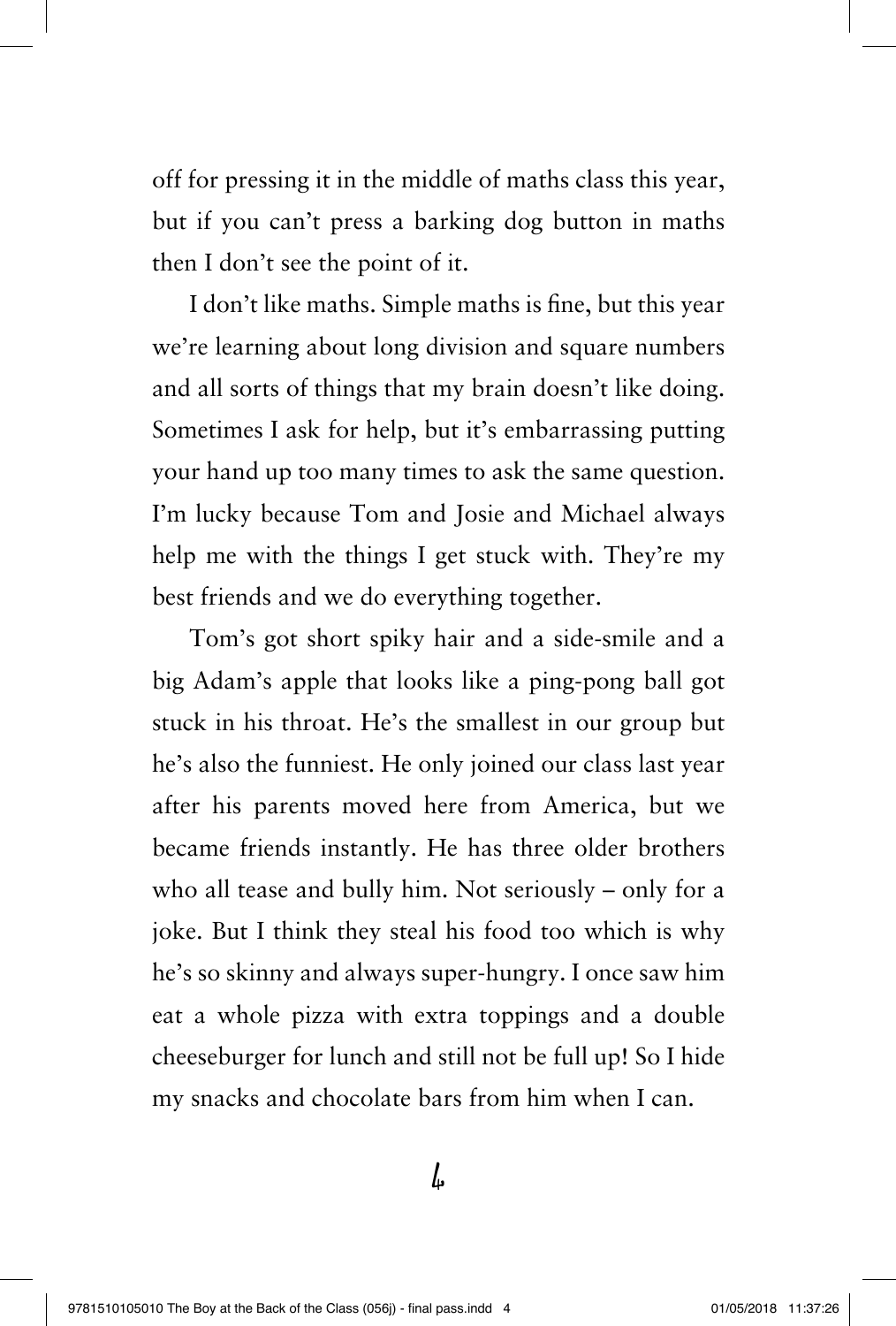off for pressing it in the middle of maths class this year, but if you can't press a barking dog button in maths then I don't see the point of it.

I don't like maths. Simple maths is fine, but this year we're learning about long division and square numbers and all sorts of things that my brain doesn't like doing. Sometimes I ask for help, but it's embarrassing putting your hand up too many times to ask the same question. I'm lucky because Tom and Josie and Michael always help me with the things I get stuck with. They're my best friends and we do everything together.

Tom's got short spiky hair and a side-smile and a big Adam's apple that looks like a ping-pong ball got stuck in his throat. He's the smallest in our group but he's also the funniest. He only joined our class last year after his parents moved here from America, but we became friends instantly. He has three older brothers who all tease and bully him. Not seriously – only for a joke. But I think they steal his food too which is why he's so skinny and always super-hungry. I once saw him eat a whole pizza with extra toppings and a double cheeseburger for lunch and still not be full up! So I hide my snacks and chocolate bars from him when I can.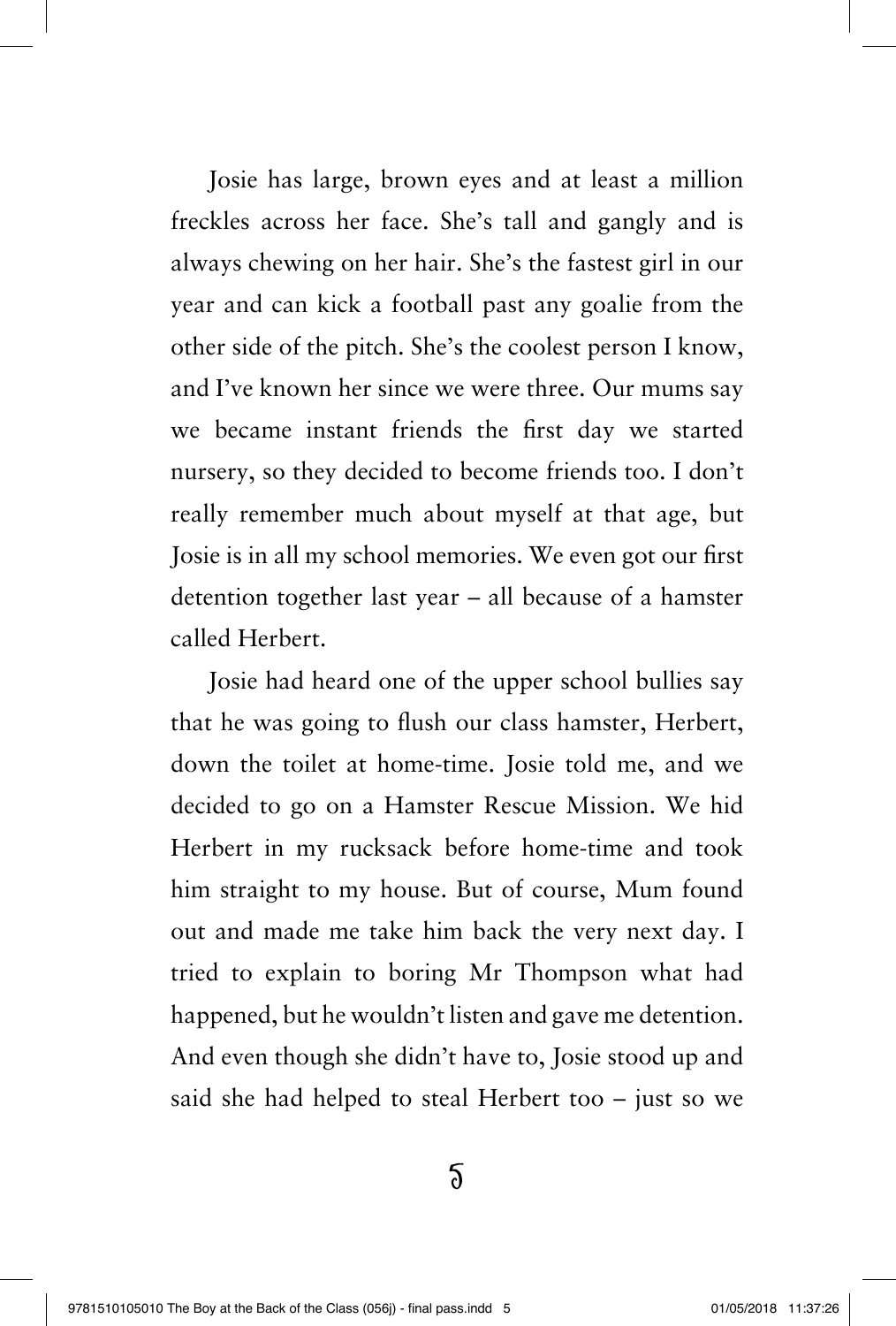Josie has large, brown eyes and at least a million freckles across her face. She's tall and gangly and is always chewing on her hair. She's the fastest girl in our year and can kick a football past any goalie from the other side of the pitch. She's the coolest person I know, and I've known her since we were three. Our mums say we became instant friends the first day we started nursery, so they decided to become friends too. I don't really remember much about myself at that age, but Josie is in all my school memories. We even got our first detention together last year – all because of a hamster called Herbert.

Josie had heard one of the upper school bullies say that he was going to flush our class hamster, Herbert, down the toilet at home-time. Josie told me, and we decided to go on a Hamster Rescue Mission. We hid Herbert in my rucksack before home-time and took him straight to my house. But of course, Mum found out and made me take him back the very next day. I tried to explain to boring Mr Thompson what had happened, but he wouldn't listen and gave me detention. And even though she didn't have to, Josie stood up and said she had helped to steal Herbert too – just so we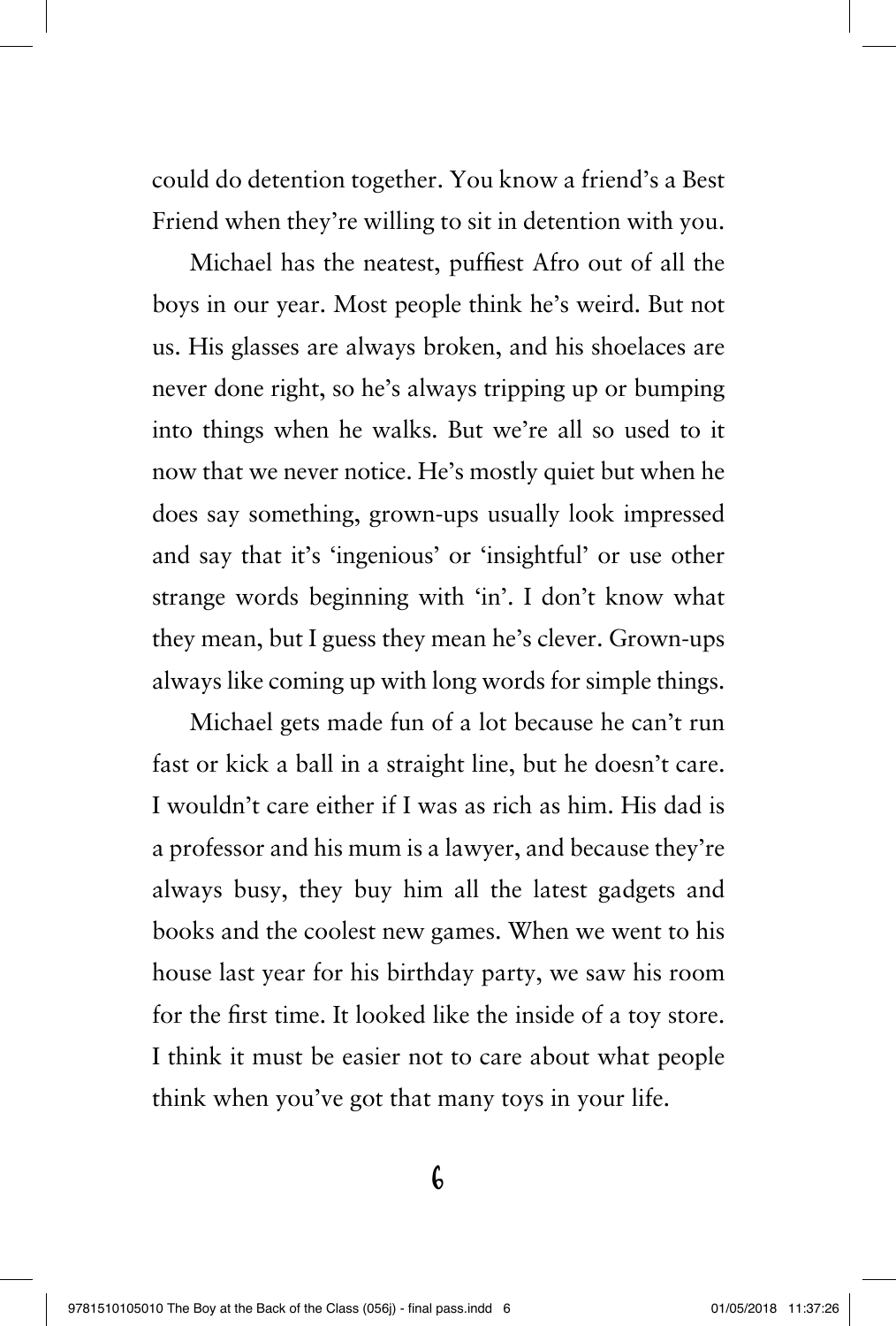could do detention together. You know a friend's a Best Friend when they're willing to sit in detention with you.

Michael has the neatest, puffiest Afro out of all the boys in our year. Most people think he's weird. But not us. His glasses are always broken, and his shoelaces are never done right, so he's always tripping up or bumping into things when he walks. But we're all so used to it now that we never notice. He's mostly quiet but when he does say something, grown-ups usually look impressed and say that it's 'ingenious' or 'insightful' or use other strange words beginning with 'in'. I don't know what they mean, but I guess they mean he's clever. Grown-ups always like coming up with long words for simple things.

Michael gets made fun of a lot because he can't run fast or kick a ball in a straight line, but he doesn't care. I wouldn't care either if I was as rich as him. His dad is a professor and his mum is a lawyer, and because they're always busy, they buy him all the latest gadgets and books and the coolest new games. When we went to his house last year for his birthday party, we saw his room for the first time. It looked like the inside of a toy store. I think it must be easier not to care about what people think when you've got that many toys in your life.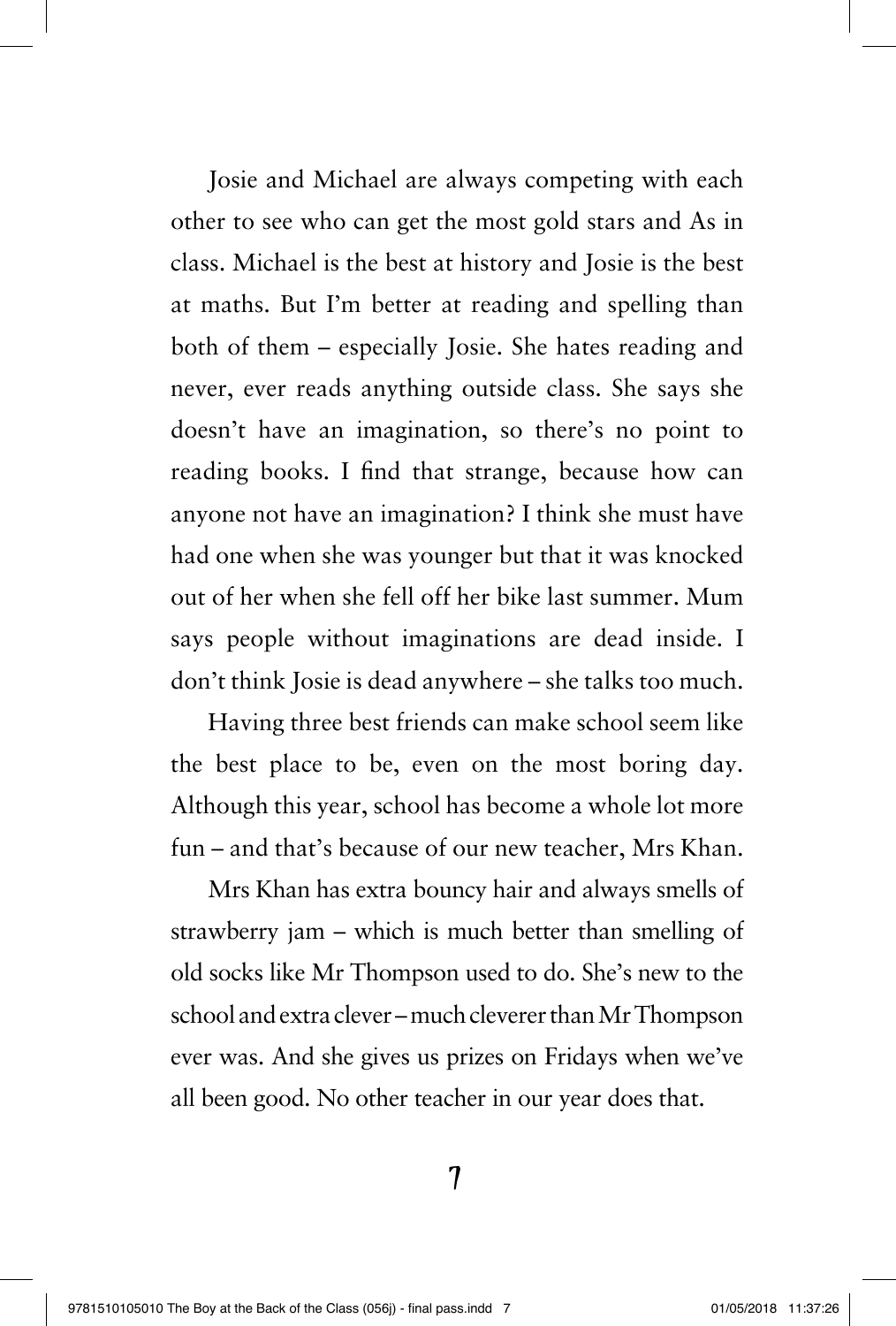Josie and Michael are always competing with each other to see who can get the most gold stars and As in class. Michael is the best at history and Josie is the best at maths. But I'm better at reading and spelling than both of them – especially Josie. She hates reading and never, ever reads anything outside class. She says she doesn't have an imagination, so there's no point to reading books. I find that strange, because how can anyone not have an imagination? I think she must have had one when she was younger but that it was knocked out of her when she fell off her bike last summer. Mum says people without imaginations are dead inside. I don't think Josie is dead anywhere – she talks too much.

Having three best friends can make school seem like the best place to be, even on the most boring day. Although this year, school has become a whole lot more fun – and that's because of our new teacher, Mrs Khan.

Mrs Khan has extra bouncy hair and always smells of strawberry jam – which is much better than smelling of old socks like Mr Thompson used to do. She's new to the school and extra clever – much cleverer than Mr Thompson ever was. And she gives us prizes on Fridays when we've all been good. No other teacher in our year does that.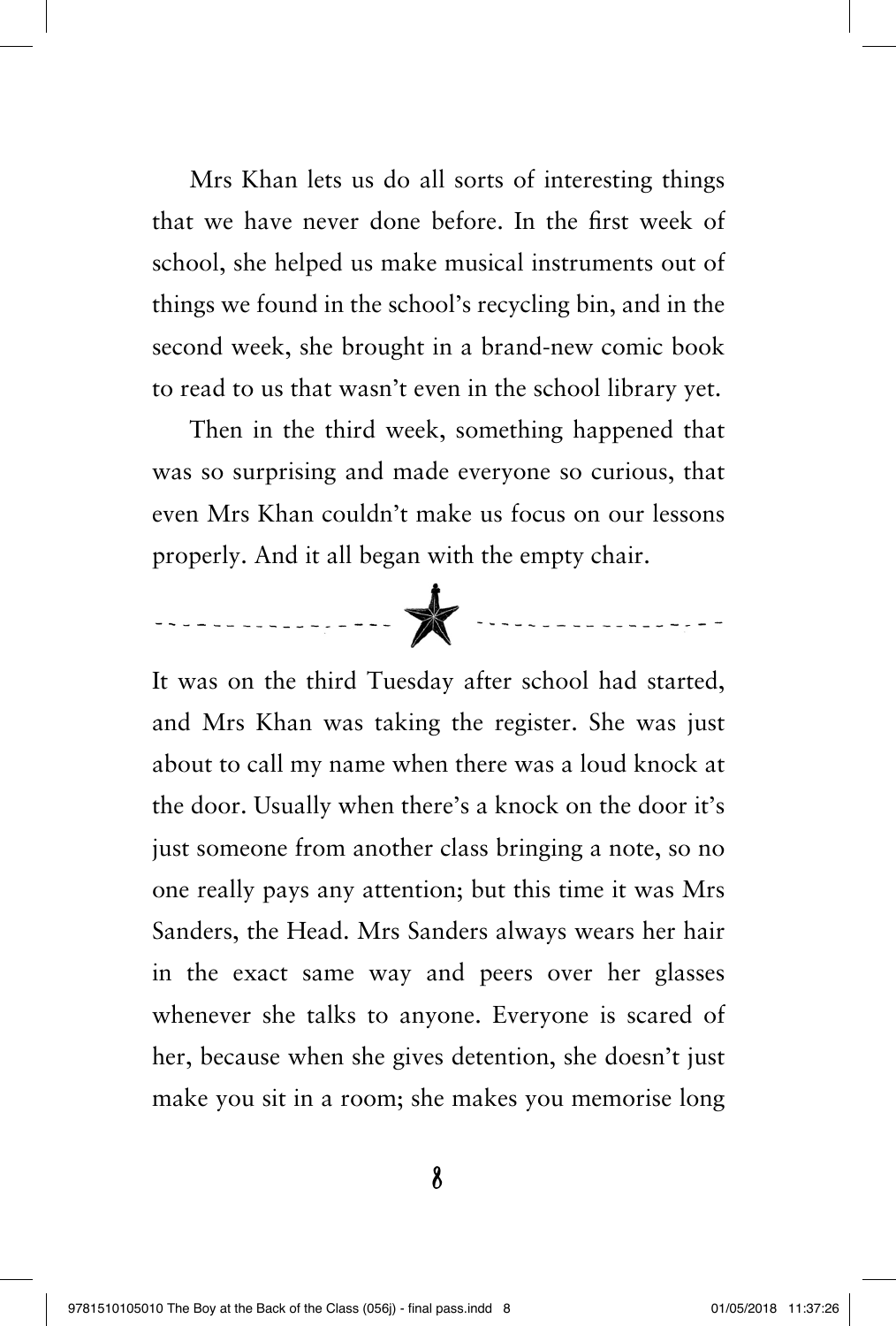Mrs Khan lets us do all sorts of interesting things that we have never done before. In the first week of school, she helped us make musical instruments out of things we found in the school's recycling bin, and in the second week, she brought in a brand-new comic book to read to us that wasn't even in the school library yet.

Then in the third week, something happened that was so surprising and made everyone so curious, that even Mrs Khan couldn't make us focus on our lessons properly. And it all began with the empty chair.



It was on the third Tuesday after school had started, and Mrs Khan was taking the register. She was just about to call my name when there was a loud knock at the door. Usually when there's a knock on the door it's just someone from another class bringing a note, so no one really pays any attention; but this time it was Mrs Sanders, the Head. Mrs Sanders always wears her hair in the exact same way and peers over her glasses whenever she talks to anyone. Everyone is scared of her, because when she gives detention, she doesn't just make you sit in a room; she makes you memorise long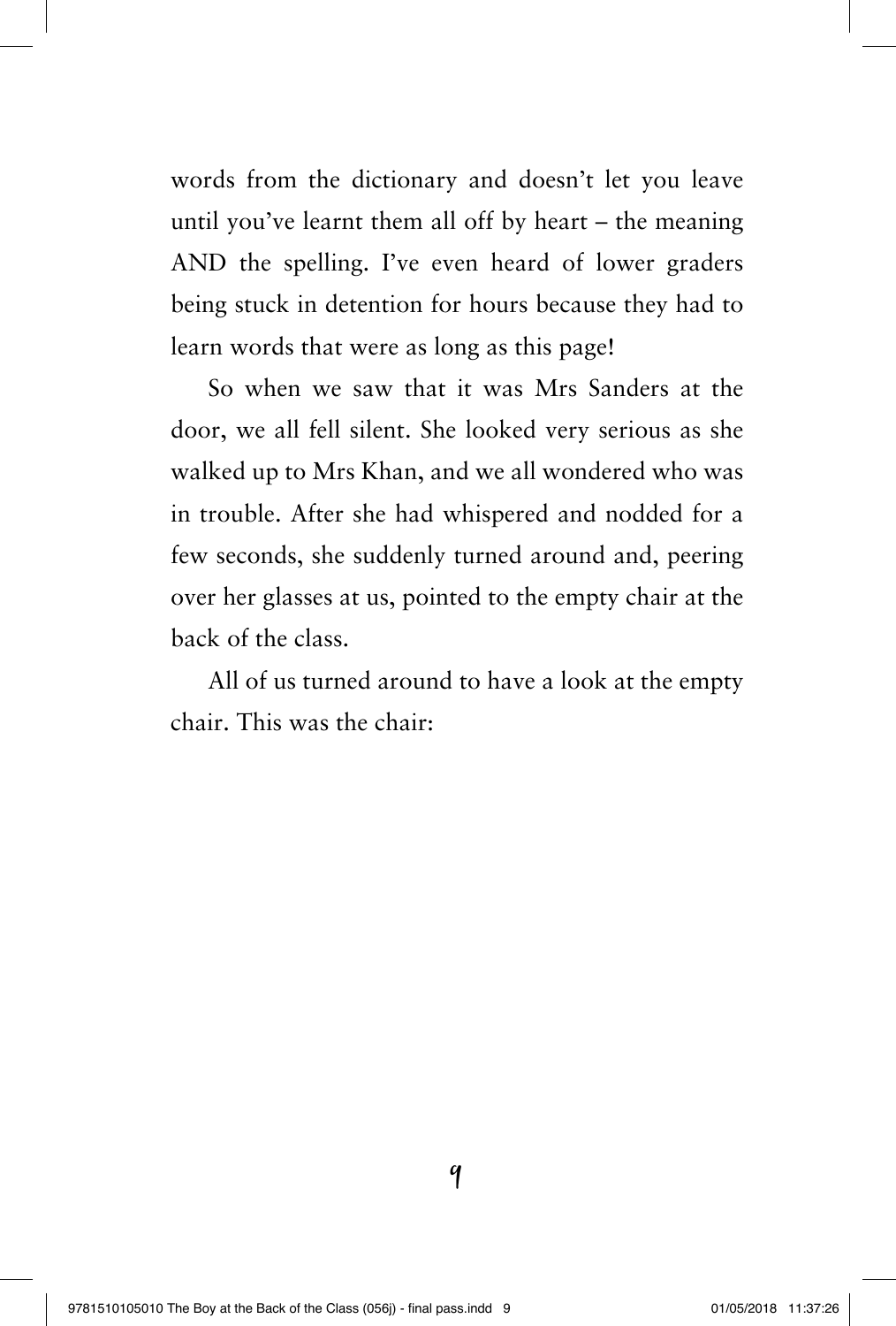words from the dictionary and doesn't let you leave until you've learnt them all off by heart – the meaning AND the spelling. I've even heard of lower graders being stuck in detention for hours because they had to learn words that were as long as this page!

So when we saw that it was Mrs Sanders at the door, we all fell silent. She looked very serious as she walked up to Mrs Khan, and we all wondered who was in trouble. After she had whispered and nodded for a few seconds, she suddenly turned around and, peering over her glasses at us, pointed to the empty chair at the back of the class.

All of us turned around to have a look at the empty chair. This was the chair: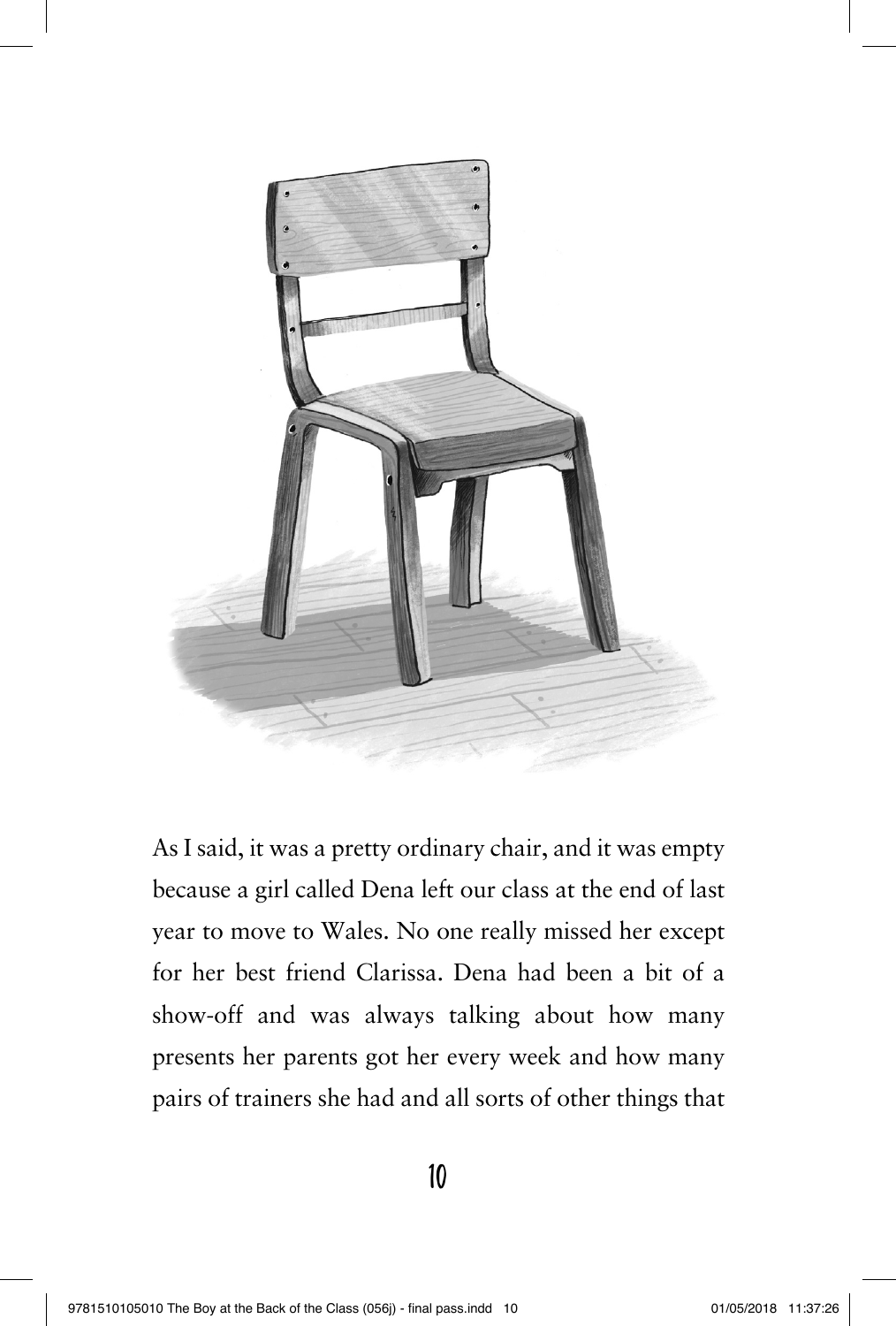

As I said, it was a pretty ordinary chair, and it was empty because a girl called Dena left our class at the end of last year to move to Wales. No one really missed her except for her best friend Clarissa. Dena had been a bit of a show-off and was always talking about how many presents her parents got her every week and how many pairs of trainers she had and all sorts of other things that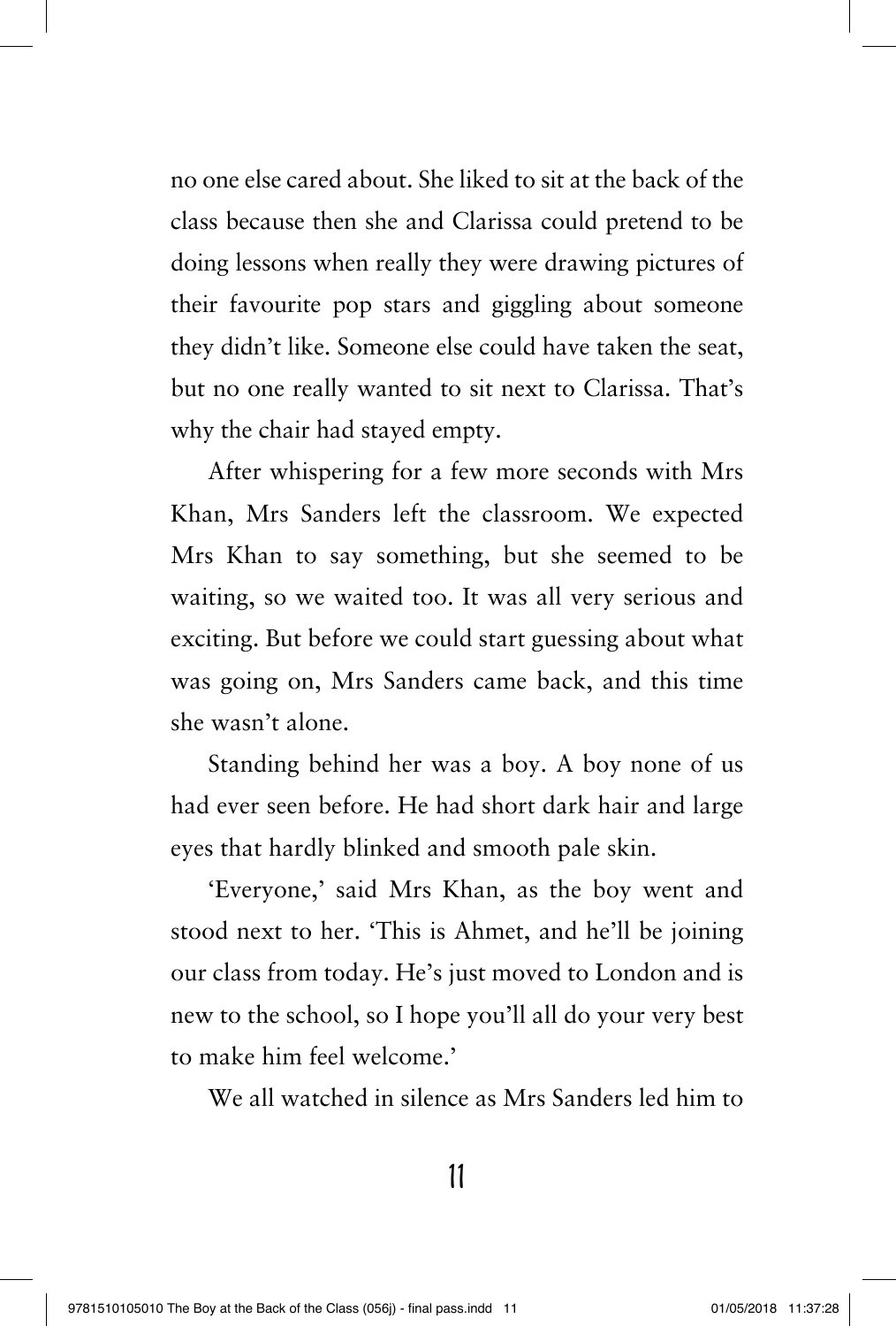no one else cared about. She liked to sit at the back of the class because then she and Clarissa could pretend to be doing lessons when really they were drawing pictures of their favourite pop stars and giggling about someone they didn't like. Someone else could have taken the seat, but no one really wanted to sit next to Clarissa. That's why the chair had stayed empty.

After whispering for a few more seconds with Mrs Khan, Mrs Sanders left the classroom. We expected Mrs Khan to say something, but she seemed to be waiting, so we waited too. It was all very serious and exciting. But before we could start guessing about what was going on, Mrs Sanders came back, and this time she wasn't alone.

Standing behind her was a boy. A boy none of us had ever seen before. He had short dark hair and large eyes that hardly blinked and smooth pale skin.

'Everyone,' said Mrs Khan, as the boy went and stood next to her. 'This is Ahmet, and he'll be joining our class from today. He's just moved to London and is new to the school, so I hope you'll all do your very best to make him feel welcome.'

We all watched in silence as Mrs Sanders led him to